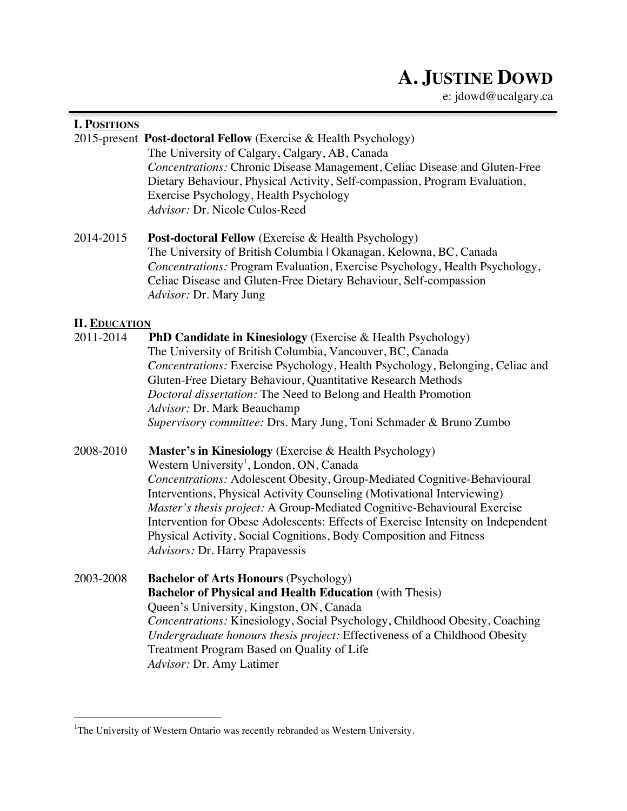# **A. JUSTINE DOWD**

e: jdowd@ucalgary.ca

# **I. POSITIONS**

2015-present **Post-doctoral Fellow** (Exercise & Health Psychology) The University of Calgary, Calgary, AB, Canada *Concentrations:* Chronic Disease Management, Celiac Disease and Gluten-Free Dietary Behaviour, Physical Activity, Self-compassion, Program Evaluation, Exercise Psychology, Health Psychology *Advisor:* Dr. Nicole Culos-Reed

2014-2015 **Post-doctoral Fellow** (Exercise & Health Psychology) The University of British Columbia | Okanagan, Kelowna, BC, Canada *Concentrations:* Program Evaluation, Exercise Psychology, Health Psychology, Celiac Disease and Gluten-Free Dietary Behaviour, Self-compassion *Advisor:* Dr. Mary Jung

#### **II. EDUCATION**

- 2011-2014 **PhD Candidate in Kinesiology** (Exercise & Health Psychology) The University of British Columbia, Vancouver, BC, Canada *Concentrations:* Exercise Psychology, Health Psychology, Belonging, Celiac and Gluten-Free Dietary Behaviour, Quantitative Research Methods *Doctoral dissertation:* The Need to Belong and Health Promotion *Advisor:* Dr. Mark Beauchamp *Supervisory committee:* Drs. Mary Jung, Toni Schmader & Bruno Zumbo
- 2008-2010 **Master's in Kinesiology** (Exercise & Health Psychology) Western University<sup>1</sup>, London, ON, Canada *Concentrations:* Adolescent Obesity, Group-Mediated Cognitive-Behavioural Interventions, Physical Activity Counseling (Motivational Interviewing) *Master's thesis project:* A Group-Mediated Cognitive-Behavioural Exercise Intervention for Obese Adolescents: Effects of Exercise Intensity on Independent Physical Activity, Social Cognitions, Body Composition and Fitness *Advisors:* Dr. Harry Prapavessis
- 2003-2008 **Bachelor of Arts Honours** (Psychology) **Bachelor of Physical and Health Education** (with Thesis) Queen's University, Kingston, ON, Canada *Concentrations:* Kinesiology, Social Psychology, Childhood Obesity, Coaching *Undergraduate honours thesis project:* Effectiveness of a Childhood Obesity Treatment Program Based on Quality of Life *Advisor:* Dr. Amy Latimer

 <sup>1</sup> <sup>1</sup>The University of Western Ontario was recently rebranded as Western University.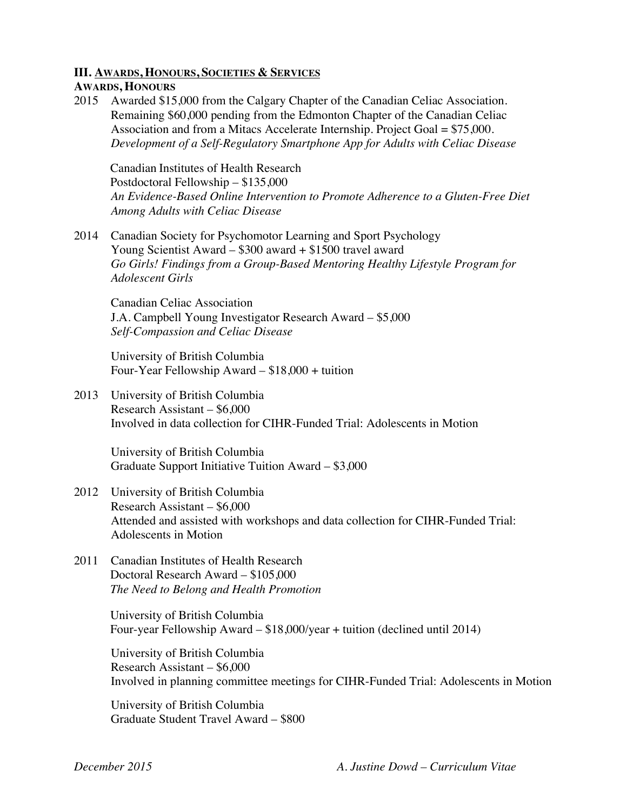#### **III. AWARDS, HONOURS, SOCIETIES & SERVICES**

#### **AWARDS, HONOURS**

2015 Awarded \$15,000 from the Calgary Chapter of the Canadian Celiac Association. Remaining \$60,000 pending from the Edmonton Chapter of the Canadian Celiac Association and from a Mitacs Accelerate Internship. Project Goal = \$75,000. *Development of a Self-Regulatory Smartphone App for Adults with Celiac Disease*

Canadian Institutes of Health Research Postdoctoral Fellowship – \$135,000 *An Evidence-Based Online Intervention to Promote Adherence to a Gluten-Free Diet Among Adults with Celiac Disease*

2014 Canadian Society for Psychomotor Learning and Sport Psychology Young Scientist Award – \$300 award + \$1500 travel award *Go Girls! Findings from a Group-Based Mentoring Healthy Lifestyle Program for Adolescent Girls*

Canadian Celiac Association J.A. Campbell Young Investigator Research Award – \$5,000 *Self-Compassion and Celiac Disease*

University of British Columbia Four-Year Fellowship Award – \$18,000 + tuition

2013 University of British Columbia Research Assistant – \$6,000 Involved in data collection for CIHR-Funded Trial: Adolescents in Motion

University of British Columbia Graduate Support Initiative Tuition Award – \$3,000

- 2012 University of British Columbia Research Assistant – \$6,000 Attended and assisted with workshops and data collection for CIHR-Funded Trial: Adolescents in Motion
- 2011 Canadian Institutes of Health Research Doctoral Research Award – \$105,000 *The Need to Belong and Health Promotion*

University of British Columbia Four-year Fellowship Award – \$18,000/year + tuition (declined until 2014)

University of British Columbia Research Assistant – \$6,000 Involved in planning committee meetings for CIHR-Funded Trial: Adolescents in Motion

University of British Columbia Graduate Student Travel Award – \$800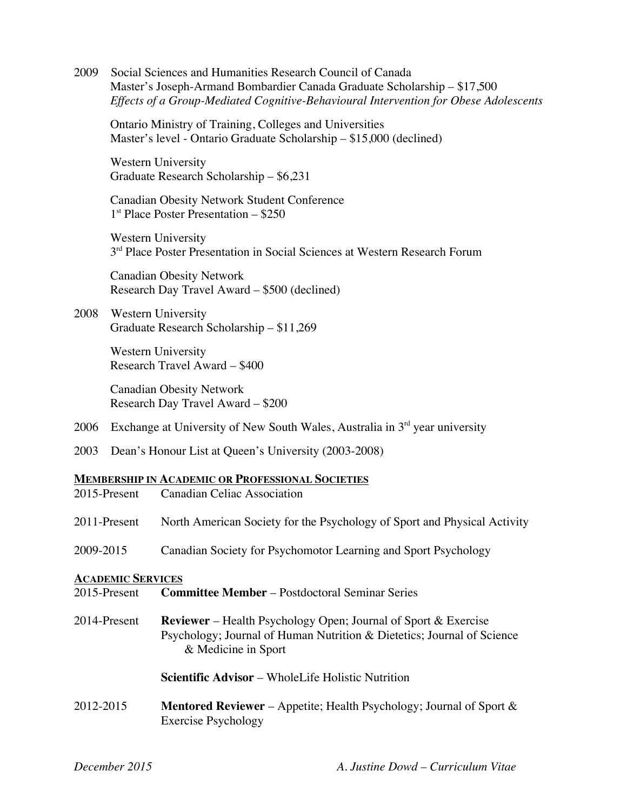2009 Social Sciences and Humanities Research Council of Canada Master's Joseph-Armand Bombardier Canada Graduate Scholarship – \$17,500 *Effects of a Group-Mediated Cognitive-Behavioural Intervention for Obese Adolescents*

Ontario Ministry of Training, Colleges and Universities Master's level - Ontario Graduate Scholarship – \$15,000 (declined)

Western University Graduate Research Scholarship – \$6,231

Canadian Obesity Network Student Conference  $1<sup>st</sup>$  Place Poster Presentation – \$250

Western University 3<sup>rd</sup> Place Poster Presentation in Social Sciences at Western Research Forum

Canadian Obesity Network Research Day Travel Award – \$500 (declined)

# 2008 Western University Graduate Research Scholarship – \$11,269

Western University Research Travel Award – \$400

Canadian Obesity Network Research Day Travel Award – \$200

- 2006 Exchange at University of New South Wales, Australia in  $3<sup>rd</sup>$  year university
- 2003 Dean's Honour List at Queen's University (2003-2008)

#### **MEMBERSHIP IN ACADEMIC OR PROFESSIONAL SOCIETIES**

| 2015-Present             | <b>Canadian Celiac Association</b>                                                                                                                                     |
|--------------------------|------------------------------------------------------------------------------------------------------------------------------------------------------------------------|
| 2011-Present             | North American Society for the Psychology of Sport and Physical Activity                                                                                               |
| 2009-2015                | Canadian Society for Psychomotor Learning and Sport Psychology                                                                                                         |
| <b>ACADEMIC SERVICES</b> |                                                                                                                                                                        |
| 2015-Present             | <b>Committee Member</b> – Postdoctoral Seminar Series                                                                                                                  |
| 2014-Present             | <b>Reviewer</b> – Health Psychology Open; Journal of Sport & Exercise<br>Psychology; Journal of Human Nutrition & Dietetics; Journal of Science<br>& Medicine in Sport |
|                          | <b>Scientific Advisor</b> – WholeLife Holistic Nutrition                                                                                                               |
| 2012-2015                | <b>Mentored Reviewer</b> – Appetite; Health Psychology; Journal of Sport $\&$<br><b>Exercise Psychology</b>                                                            |
|                          |                                                                                                                                                                        |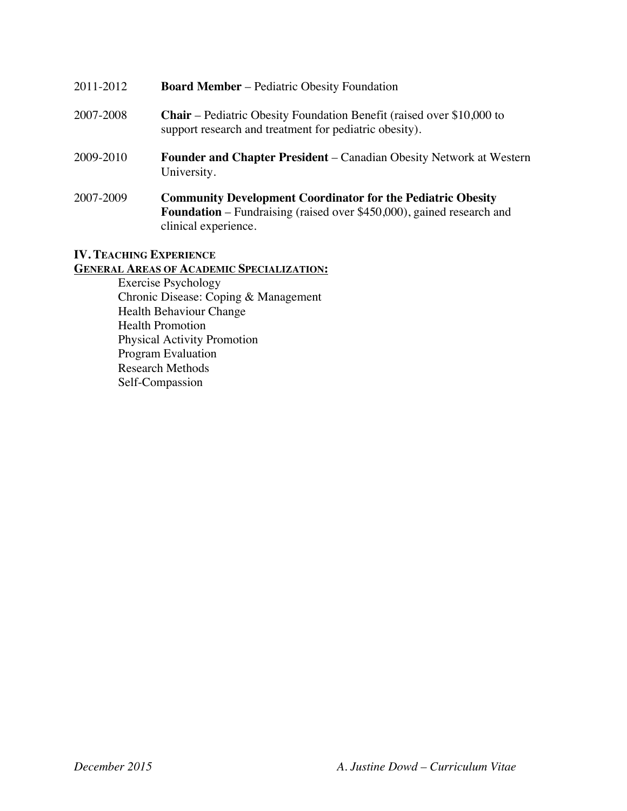| 2011-2012 | <b>Board Member</b> – Pediatric Obesity Foundation                                                                                                 |
|-----------|----------------------------------------------------------------------------------------------------------------------------------------------------|
| 2007-2008 | <b>Chair</b> – Pediatric Obesity Foundation Benefit (raised over \$10,000 to<br>support research and treatment for pediatric obesity).             |
| 2009-2010 | <b>Founder and Chapter President</b> – Canadian Obesity Network at Western<br>University.                                                          |
| 2007-2009 | <b>Community Development Coordinator for the Pediatric Obesity</b><br><b>Foundation</b> – Fundraising (raised over \$450,000), gained research and |

#### **IV. TEACHING EXPERIENCE**

**GENERAL AREAS OF ACADEMIC SPECIALIZATION:**

clinical experience.

Exercise Psychology Chronic Disease: Coping & Management Health Behaviour Change Health Promotion Physical Activity Promotion Program Evaluation Research Methods Self-Compassion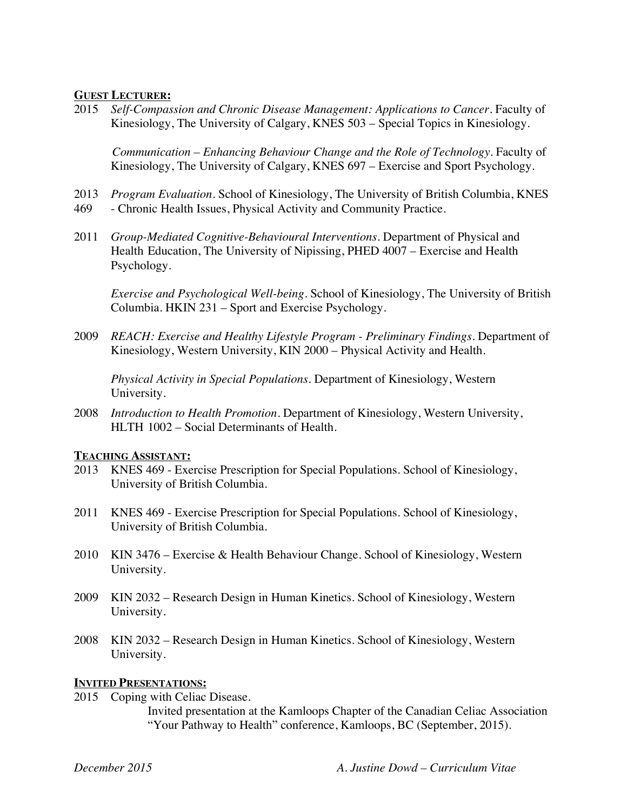#### **GUEST LECTURER:**

2015 *Self-Compassion and Chronic Disease Management: Applications to Cancer.* Faculty of Kinesiology, The University of Calgary, KNES 503 – Special Topics in Kinesiology.

 *Communication – Enhancing Behaviour Change and the Role of Technology.* Faculty of Kinesiology, The University of Calgary, KNES 697 – Exercise and Sport Psychology.

- 2013 *Program Evaluation.* School of Kinesiology, The University of British Columbia, KNES
- 469 Chronic Health Issues, Physical Activity and Community Practice.
- 2011 *Group-Mediated Cognitive-Behavioural Interventions.* Department of Physical and Health Education, The University of Nipissing, PHED 4007 – Exercise and Health Psychology.

*Exercise and Psychological Well-being.* School of Kinesiology, The University of British Columbia. HKIN 231 – Sport and Exercise Psychology.

2009 *REACH: Exercise and Healthy Lifestyle Program - Preliminary Findings.* Department of Kinesiology, Western University, KIN 2000 – Physical Activity and Health.

*Physical Activity in Special Populations.* Department of Kinesiology, Western University.

2008 *Introduction to Health Promotion.* Department of Kinesiology, Western University, HLTH 1002 – Social Determinants of Health.

#### **TEACHING ASSISTANT:**

- 2013 KNES 469 Exercise Prescription for Special Populations. School of Kinesiology, University of British Columbia.
- 2011 KNES 469 Exercise Prescription for Special Populations. School of Kinesiology, University of British Columbia.
- 2010 KIN 3476 Exercise & Health Behaviour Change. School of Kinesiology, Western University.
- 2009 KIN 2032 Research Design in Human Kinetics. School of Kinesiology, Western University.
- 2008 KIN 2032 Research Design in Human Kinetics. School of Kinesiology, Western University.

#### **INVITED PRESENTATIONS:**

2015 Coping with Celiac Disease.

Invited presentation at the Kamloops Chapter of the Canadian Celiac Association "Your Pathway to Health" conference, Kamloops, BC (September, 2015).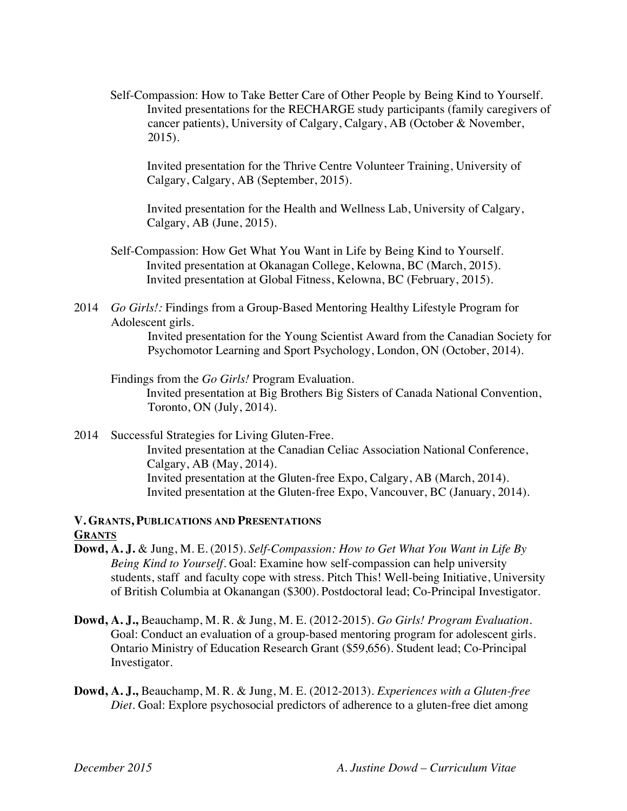Self-Compassion: How to Take Better Care of Other People by Being Kind to Yourself. Invited presentations for the RECHARGE study participants (family caregivers of cancer patients), University of Calgary, Calgary, AB (October & November, 2015).

Invited presentation for the Thrive Centre Volunteer Training, University of Calgary, Calgary, AB (September, 2015).

Invited presentation for the Health and Wellness Lab, University of Calgary, Calgary, AB (June, 2015).

- Self-Compassion: How Get What You Want in Life by Being Kind to Yourself. Invited presentation at Okanagan College, Kelowna, BC (March, 2015). Invited presentation at Global Fitness, Kelowna, BC (February, 2015).
- 2014 *Go Girls!:* Findings from a Group-Based Mentoring Healthy Lifestyle Program for Adolescent girls.

Invited presentation for the Young Scientist Award from the Canadian Society for Psychomotor Learning and Sport Psychology, London, ON (October, 2014).

Findings from the *Go Girls!* Program Evaluation. Invited presentation at Big Brothers Big Sisters of Canada National Convention, Toronto, ON (July, 2014).

2014 Successful Strategies for Living Gluten-Free. Invited presentation at the Canadian Celiac Association National Conference, Calgary, AB (May, 2014). Invited presentation at the Gluten-free Expo, Calgary, AB (March, 2014). Invited presentation at the Gluten-free Expo, Vancouver, BC (January, 2014).

# **V. GRANTS, PUBLICATIONS AND PRESENTATIONS GRANTS**

- **Dowd, A. J.** & Jung, M. E. (2015). *Self-Compassion: How to Get What You Want in Life By Being Kind to Yourself.* Goal: Examine how self-compassion can help university students, staff and faculty cope with stress. Pitch This! Well-being Initiative, University of British Columbia at Okanangan (\$300). Postdoctoral lead; Co-Principal Investigator.
- **Dowd, A. J.,** Beauchamp, M. R. & Jung, M. E. (2012-2015). *Go Girls! Program Evaluation*. Goal: Conduct an evaluation of a group-based mentoring program for adolescent girls. Ontario Ministry of Education Research Grant (\$59,656). Student lead; Co-Principal Investigator.
- **Dowd, A. J.,** Beauchamp, M. R. & Jung, M. E. (2012-2013). *Experiences with a Gluten-free Diet.* Goal: Explore psychosocial predictors of adherence to a gluten-free diet among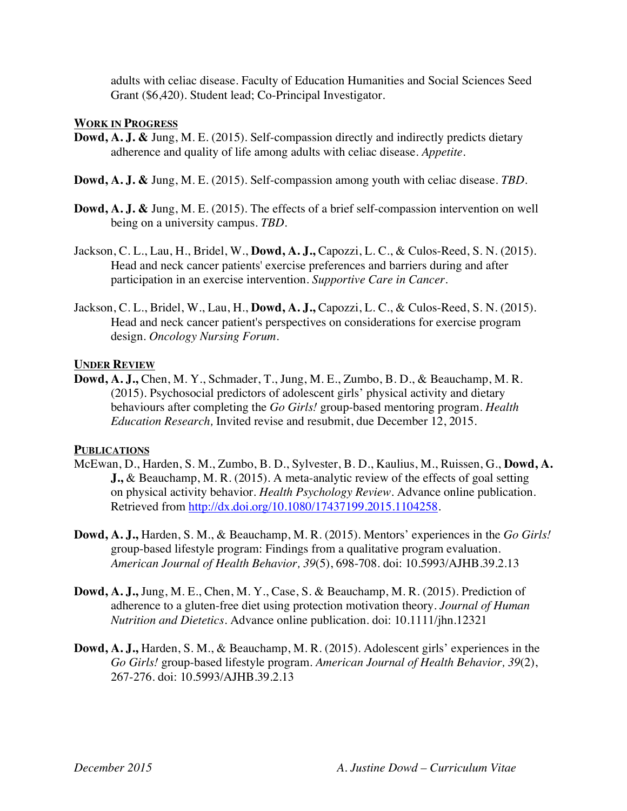adults with celiac disease. Faculty of Education Humanities and Social Sciences Seed Grant (\$6,420). Student lead; Co-Principal Investigator.

#### **WORK IN PROGRESS**

- **Dowd, A. J. &** Jung, M. E. (2015). Self-compassion directly and indirectly predicts dietary adherence and quality of life among adults with celiac disease. *Appetite*.
- **Dowd, A. J. &** Jung, M. E. (2015). Self-compassion among youth with celiac disease. *TBD*.
- **Dowd, A. J. &** Jung, M. E. (2015). The effects of a brief self-compassion intervention on well being on a university campus. *TBD*.
- Jackson, C. L., Lau, H., Bridel, W., **Dowd, A. J.,** Capozzi, L. C., & Culos-Reed, S. N. (2015). Head and neck cancer patients' exercise preferences and barriers during and after participation in an exercise intervention. *Supportive Care in Cancer*.
- Jackson, C. L., Bridel, W., Lau, H., **Dowd, A. J.,** Capozzi, L. C., & Culos-Reed, S. N. (2015). Head and neck cancer patient's perspectives on considerations for exercise program design. *Oncology Nursing Forum*.

#### **UNDER REVIEW**

**Dowd, A. J.,** Chen, M. Y., Schmader, T., Jung, M. E., Zumbo, B. D., & Beauchamp, M. R. (2015). Psychosocial predictors of adolescent girls' physical activity and dietary behaviours after completing the *Go Girls!* group-based mentoring program. *Health Education Research,* Invited revise and resubmit, due December 12, 2015.

# **PUBLICATIONS**

- McEwan, D., Harden, S. M., Zumbo, B. D., Sylvester, B. D., Kaulius, M., Ruissen, G., **Dowd, A. J.,** & Beauchamp, M. R. (2015). A meta-analytic review of the effects of goal setting on physical activity behavior. *Health Psychology Review.* Advance online publication. Retrieved from http://dx.doi.org/10.1080/17437199.2015.1104258.
- **Dowd, A. J.,** Harden, S. M., & Beauchamp, M. R. (2015). Mentors' experiences in the *Go Girls!* group-based lifestyle program: Findings from a qualitative program evaluation. *American Journal of Health Behavior, 39*(5), 698-708. doi: 10.5993/AJHB.39.2.13
- **Dowd, A. J.,** Jung, M. E., Chen, M. Y., Case, S. & Beauchamp, M. R. (2015). Prediction of adherence to a gluten-free diet using protection motivation theory. *Journal of Human Nutrition and Dietetics.* Advance online publication. doi: 10.1111/jhn.12321
- **Dowd, A. J.,** Harden, S. M., & Beauchamp, M. R. (2015). Adolescent girls' experiences in the *Go Girls!* group-based lifestyle program. *American Journal of Health Behavior, 39*(2), 267-276. doi: 10.5993/AJHB.39.2.13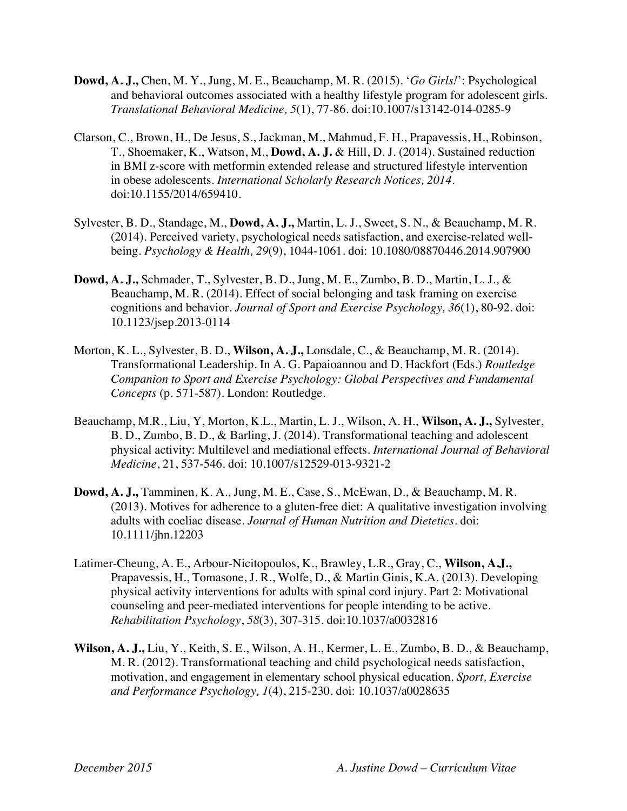- **Dowd, A. J.,** Chen, M. Y., Jung, M. E., Beauchamp, M. R. (2015). '*Go Girls!*': Psychological and behavioral outcomes associated with a healthy lifestyle program for adolescent girls. *Translational Behavioral Medicine, 5*(1), 77-86. doi:10.1007/s13142-014-0285-9
- Clarson, C., Brown, H., De Jesus, S., Jackman, M., Mahmud, F. H., Prapavessis, H., Robinson, T., Shoemaker, K., Watson, M., **Dowd, A. J.** & Hill, D. J. (2014). Sustained reduction in BMI z-score with metformin extended release and structured lifestyle intervention in obese adolescents. *International Scholarly Research Notices, 2014*. doi:10.1155/2014/659410.
- Sylvester, B. D., Standage, M., **Dowd, A. J.,** Martin, L. J., Sweet, S. N., & Beauchamp, M. R. (2014). Perceived variety, psychological needs satisfaction, and exercise-related wellbeing. *Psychology & Health, 29*(9), 1044-1061. doi: 10.1080/08870446.2014.907900
- **Dowd, A. J.,** Schmader, T., Sylvester, B. D., Jung, M. E., Zumbo, B. D., Martin, L. J., & Beauchamp, M. R. (2014). Effect of social belonging and task framing on exercise cognitions and behavior. *Journal of Sport and Exercise Psychology, 36*(1), 80-92. doi: 10.1123/jsep.2013-0114
- Morton, K. L., Sylvester, B. D., **Wilson, A. J.,** Lonsdale, C., & Beauchamp, M. R. (2014). Transformational Leadership. In A. G. Papaioannou and D. Hackfort (Eds.) *Routledge Companion to Sport and Exercise Psychology: Global Perspectives and Fundamental Concepts* (p. 571-587). London: Routledge.
- Beauchamp, M.R., Liu, Y, Morton, K.L., Martin, L. J., Wilson, A. H., **Wilson, A. J.,** Sylvester, B. D., Zumbo, B. D., & Barling, J. (2014). Transformational teaching and adolescent physical activity: Multilevel and mediational effects*. International Journal of Behavioral Medicine*, 21, 537-546. doi: 10.1007/s12529-013-9321-2
- **Dowd, A. J.,** Tamminen, K. A., Jung, M. E., Case, S., McEwan, D., & Beauchamp, M. R. (2013). Motives for adherence to a gluten-free diet: A qualitative investigation involving adults with coeliac disease. *Journal of Human Nutrition and Dietetics.* doi: 10.1111/jhn.12203
- Latimer-Cheung, A. E., Arbour-Nicitopoulos, K., Brawley, L.R., Gray, C., **Wilson, A.J.,** Prapavessis, H., Tomasone, J. R., Wolfe, D., & Martin Ginis, K.A. (2013). Developing physical activity interventions for adults with spinal cord injury. Part 2: Motivational counseling and peer-mediated interventions for people intending to be active. *Rehabilitation Psychology*, *58*(3), 307-315. doi:10.1037/a0032816
- **Wilson, A. J.,** Liu, Y., Keith, S. E., Wilson, A. H., Kermer, L. E., Zumbo, B. D., & Beauchamp, M. R. (2012). Transformational teaching and child psychological needs satisfaction, motivation, and engagement in elementary school physical education. *Sport, Exercise and Performance Psychology, 1*(4), 215-230. doi: 10.1037/a0028635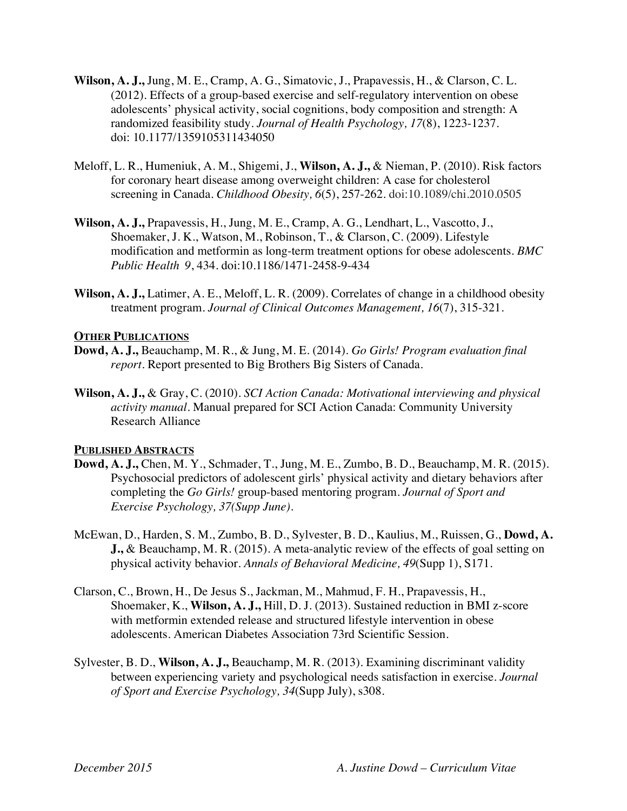- **Wilson, A. J.,** Jung, M. E., Cramp, A. G., Simatovic, J., Prapavessis, H., & Clarson, C. L. (2012). Effects of a group-based exercise and self-regulatory intervention on obese adolescents' physical activity, social cognitions, body composition and strength: A randomized feasibility study. *Journal of Health Psychology, 17*(8), 1223-1237. doi: 10.1177/1359105311434050
- Meloff, L. R., Humeniuk, A. M., Shigemi, J., **Wilson, A. J.,** & Nieman, P. (2010). Risk factors for coronary heart disease among overweight children: A case for cholesterol screening in Canada. *Childhood Obesity, 6*(5), 257-262. doi:10.1089/chi.2010.0505
- **Wilson, A. J.,** Prapavessis, H., Jung, M. E., Cramp, A. G., Lendhart, L., Vascotto, J., Shoemaker, J. K., Watson, M., Robinson, T., & Clarson, C. (2009). Lifestyle modification and metformin as long-term treatment options for obese adolescents. *BMC Public Health 9*, 434. doi:10.1186/1471-2458-9-434
- **Wilson, A. J.,** Latimer, A. E., Meloff, L. R. (2009). Correlates of change in a childhood obesity treatment program. *Journal of Clinical Outcomes Management, 16*(7), 315-321.

# **OTHER PUBLICATIONS**

- **Dowd, A. J.,** Beauchamp, M. R., & Jung, M. E. (2014). *Go Girls! Program evaluation final report.* Report presented to Big Brothers Big Sisters of Canada.
- **Wilson, A. J.,** & Gray, C. (2010). *SCI Action Canada: Motivational interviewing and physical activity manual.* Manual prepared for SCI Action Canada: Community University Research Alliance

# **PUBLISHED ABSTRACTS**

- **Dowd, A. J.,** Chen, M. Y., Schmader, T., Jung, M. E., Zumbo, B. D., Beauchamp, M. R. (2015). Psychosocial predictors of adolescent girls' physical activity and dietary behaviors after completing the *Go Girls!* group-based mentoring program. *Journal of Sport and Exercise Psychology, 37(Supp June).*
- McEwan, D., Harden, S. M., Zumbo, B. D., Sylvester, B. D., Kaulius, M., Ruissen, G., **Dowd, A. J.,** & Beauchamp, M. R. (2015). A meta-analytic review of the effects of goal setting on physical activity behavior. *Annals of Behavioral Medicine, 49*(Supp 1), S171.
- Clarson, C., Brown, H., De Jesus S., Jackman, M., Mahmud, F. H., Prapavessis, H., Shoemaker, K., **Wilson, A. J.,** Hill, D. J. (2013). Sustained reduction in BMI z-score with metformin extended release and structured lifestyle intervention in obese adolescents. American Diabetes Association 73rd Scientific Session.
- Sylvester, B. D., **Wilson, A. J.,** Beauchamp, M. R. (2013). Examining discriminant validity between experiencing variety and psychological needs satisfaction in exercise. *Journal of Sport and Exercise Psychology, 34*(Supp July), s308.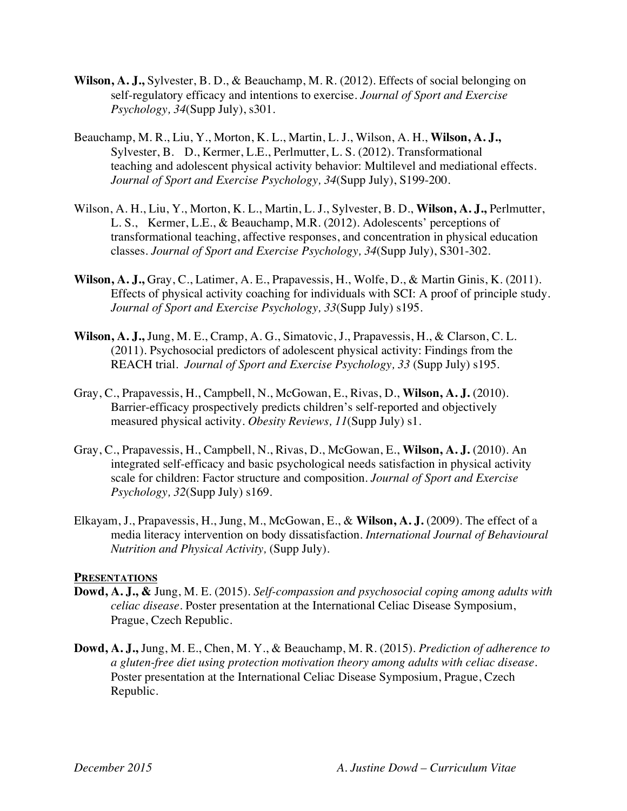- **Wilson, A. J.,** Sylvester, B. D., & Beauchamp, M. R. (2012). Effects of social belonging on self-regulatory efficacy and intentions to exercise. *Journal of Sport and Exercise Psychology, 34*(Supp July), s301.
- Beauchamp, M. R., Liu, Y., Morton, K. L., Martin, L. J., Wilson, A. H., **Wilson, A. J.,** Sylvester, B. D., Kermer, L.E., Perlmutter, L. S. (2012). Transformational teaching and adolescent physical activity behavior: Multilevel and mediational effects. *Journal of Sport and Exercise Psychology, 34*(Supp July), S199-200.
- Wilson, A. H., Liu, Y., Morton, K. L., Martin, L. J., Sylvester, B. D., **Wilson, A. J.,** Perlmutter, L. S., Kermer, L.E., & Beauchamp, M.R. (2012). Adolescents' perceptions of transformational teaching, affective responses, and concentration in physical education classes. *Journal of Sport and Exercise Psychology, 34*(Supp July), S301-302.
- **Wilson, A. J.,** Gray, C., Latimer, A. E., Prapavessis, H., Wolfe, D., & Martin Ginis, K. (2011). Effects of physical activity coaching for individuals with SCI: A proof of principle study. *Journal of Sport and Exercise Psychology, 33*(Supp July) s195.
- **Wilson, A. J.,** Jung, M. E., Cramp, A. G., Simatovic, J., Prapavessis, H., & Clarson, C. L. (2011). Psychosocial predictors of adolescent physical activity: Findings from the REACH trial. *Journal of Sport and Exercise Psychology, 33* (Supp July) s195.
- Gray, C., Prapavessis, H., Campbell, N., McGowan, E., Rivas, D., **Wilson, A. J.** (2010). Barrier-efficacy prospectively predicts children's self-reported and objectively measured physical activity. *Obesity Reviews, 11*(Supp July) s1.
- Gray, C., Prapavessis, H., Campbell, N., Rivas, D., McGowan, E., **Wilson, A. J.** (2010). An integrated self-efficacy and basic psychological needs satisfaction in physical activity scale for children: Factor structure and composition. *Journal of Sport and Exercise Psychology, 32*(Supp July) s169.
- Elkayam, J., Prapavessis, H., Jung, M., McGowan, E., & **Wilson, A. J.** (2009). The effect of a media literacy intervention on body dissatisfaction. *International Journal of Behavioural Nutrition and Physical Activity,* (Supp July).

# **PRESENTATIONS**

- **Dowd, A. J., &** Jung, M. E. (2015). *Self-compassion and psychosocial coping among adults with celiac disease.* Poster presentation at the International Celiac Disease Symposium, Prague, Czech Republic.
- **Dowd, A. J.,** Jung, M. E., Chen, M. Y., & Beauchamp, M. R. (2015). *Prediction of adherence to a gluten-free diet using protection motivation theory among adults with celiac disease.* Poster presentation at the International Celiac Disease Symposium, Prague, Czech Republic.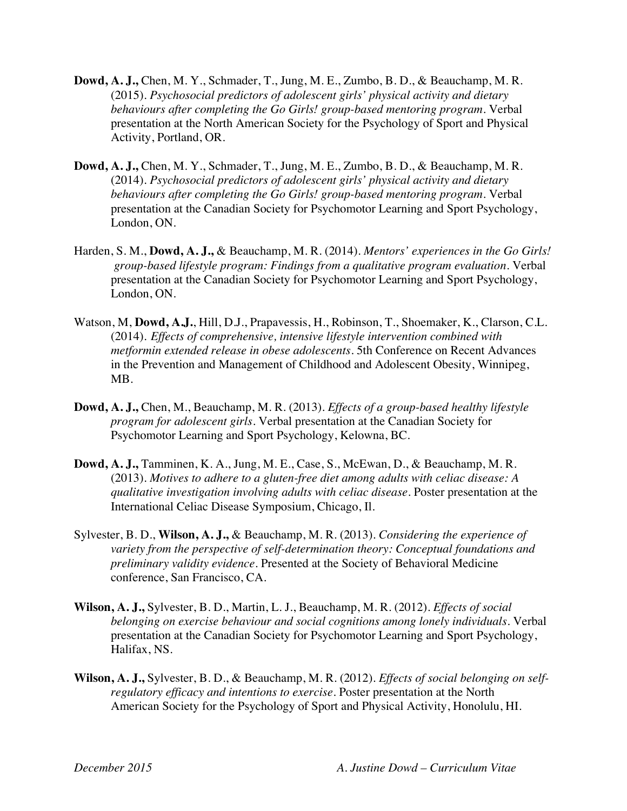- **Dowd, A. J.,** Chen, M. Y., Schmader, T., Jung, M. E., Zumbo, B. D., & Beauchamp, M. R. (2015). *Psychosocial predictors of adolescent girls' physical activity and dietary behaviours after completing the Go Girls! group-based mentoring program.* Verbal presentation at the North American Society for the Psychology of Sport and Physical Activity, Portland, OR.
- **Dowd, A. J.,** Chen, M. Y., Schmader, T., Jung, M. E., Zumbo, B. D., & Beauchamp, M. R. (2014). *Psychosocial predictors of adolescent girls' physical activity and dietary behaviours after completing the Go Girls! group-based mentoring program.* Verbal presentation at the Canadian Society for Psychomotor Learning and Sport Psychology, London, ON.
- Harden, S. M., **Dowd, A. J.,** & Beauchamp, M. R. (2014). *Mentors' experiences in the Go Girls! group-based lifestyle program: Findings from a qualitative program evaluation*. Verbal presentation at the Canadian Society for Psychomotor Learning and Sport Psychology, London, ON.
- Watson, M, **Dowd, A.J.**, Hill, D.J., Prapavessis, H., Robinson, T., Shoemaker, K., Clarson, C.L. (2014). *Effects of comprehensive, intensive lifestyle intervention combined with metformin extended release in obese adolescents*. 5th Conference on Recent Advances in the Prevention and Management of Childhood and Adolescent Obesity, Winnipeg, MB.
- **Dowd, A. J.,** Chen, M., Beauchamp, M. R. (2013). *Effects of a group-based healthy lifestyle program for adolescent girls.* Verbal presentation at the Canadian Society for Psychomotor Learning and Sport Psychology, Kelowna, BC.
- **Dowd, A. J.,** Tamminen, K. A., Jung, M. E., Case, S., McEwan, D., & Beauchamp, M. R. (2013). *Motives to adhere to a gluten-free diet among adults with celiac disease: A qualitative investigation involving adults with celiac disease.* Poster presentation at the International Celiac Disease Symposium, Chicago, Il.
- Sylvester, B. D., **Wilson, A. J.,** & Beauchamp, M. R. (2013). *Considering the experience of variety from the perspective of self-determination theory: Conceptual foundations and preliminary validity evidence*. Presented at the Society of Behavioral Medicine conference, San Francisco, CA.
- **Wilson, A. J.,** Sylvester, B. D., Martin, L. J., Beauchamp, M. R. (2012). *Effects of social belonging on exercise behaviour and social cognitions among lonely individuals.* Verbal presentation at the Canadian Society for Psychomotor Learning and Sport Psychology, Halifax, NS.
- **Wilson, A. J.,** Sylvester, B. D., & Beauchamp, M. R. (2012). *Effects of social belonging on selfregulatory efficacy and intentions to exercise.* Poster presentation at the North American Society for the Psychology of Sport and Physical Activity, Honolulu, HI.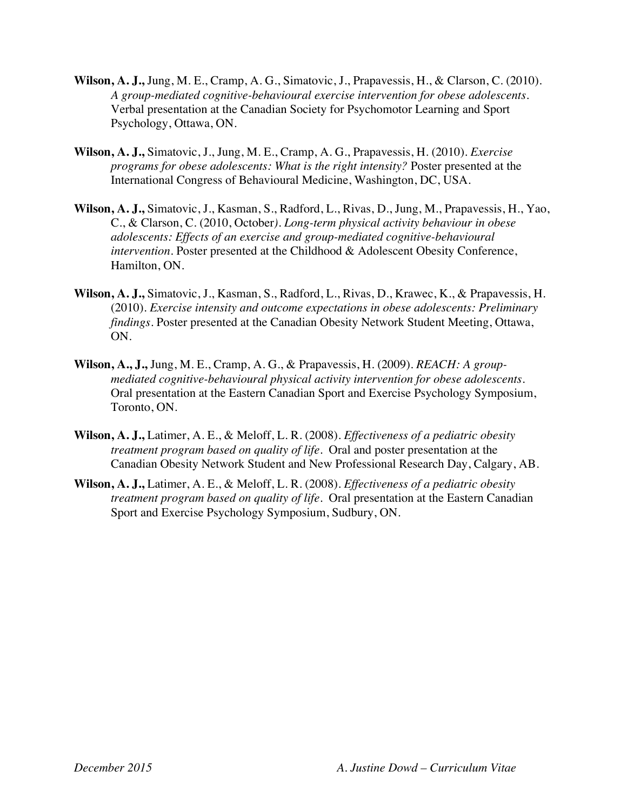- **Wilson, A. J.,** Jung, M. E., Cramp, A. G., Simatovic, J., Prapavessis, H., & Clarson, C. (2010). *A group-mediated cognitive-behavioural exercise intervention for obese adolescents.* Verbal presentation at the Canadian Society for Psychomotor Learning and Sport Psychology, Ottawa, ON.
- **Wilson, A. J.,** Simatovic, J., Jung, M. E., Cramp, A. G., Prapavessis, H. (2010). *Exercise programs for obese adolescents: What is the right intensity?* Poster presented at the International Congress of Behavioural Medicine, Washington, DC, USA.
- **Wilson, A. J.,** Simatovic, J., Kasman, S., Radford, L., Rivas, D., Jung, M., Prapavessis, H., Yao, C., & Clarson, C. (2010, October*). Long-term physical activity behaviour in obese adolescents: Effects of an exercise and group-mediated cognitive-behavioural intervention.* Poster presented at the Childhood & Adolescent Obesity Conference, Hamilton, ON.
- **Wilson, A. J.,** Simatovic, J., Kasman, S., Radford, L., Rivas, D., Krawec, K., & Prapavessis, H. (2010). *Exercise intensity and outcome expectations in obese adolescents: Preliminary findings*. Poster presented at the Canadian Obesity Network Student Meeting, Ottawa, ON.
- **Wilson, A., J.,** Jung, M. E., Cramp, A. G., & Prapavessis, H. (2009). *REACH: A groupmediated cognitive-behavioural physical activity intervention for obese adolescents.* Oral presentation at the Eastern Canadian Sport and Exercise Psychology Symposium, Toronto, ON.
- **Wilson, A. J.,** Latimer, A. E., & Meloff, L. R. (2008). *Effectiveness of a pediatric obesity treatment program based on quality of life.* Oral and poster presentation at the Canadian Obesity Network Student and New Professional Research Day, Calgary, AB.
- **Wilson, A. J.,** Latimer, A. E., & Meloff, L. R. (2008). *Effectiveness of a pediatric obesity treatment program based on quality of life.* Oral presentation at the Eastern Canadian Sport and Exercise Psychology Symposium, Sudbury, ON.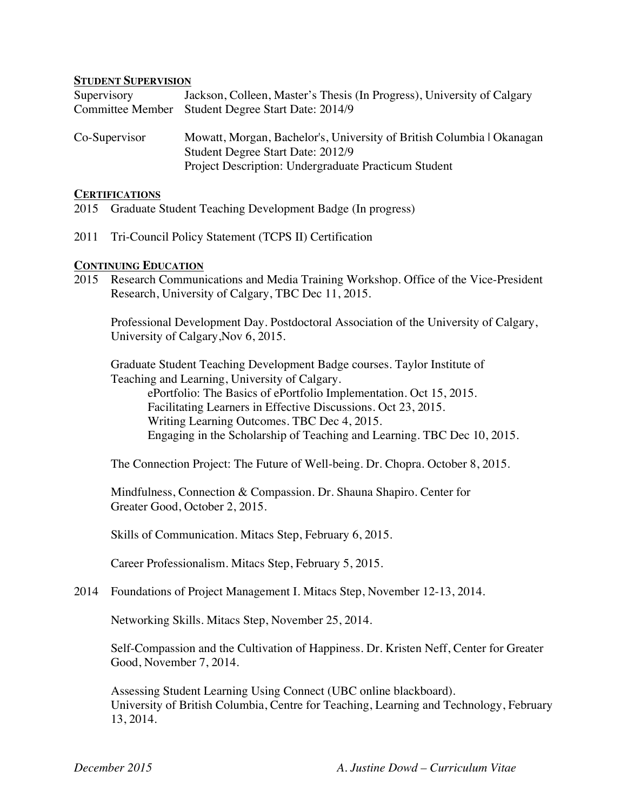#### **STUDENT SUPERVISION**

| Supervisory             | Jackson, Colleen, Master's Thesis (In Progress), University of Calgary |
|-------------------------|------------------------------------------------------------------------|
| <b>Committee Member</b> | Student Degree Start Date: 2014/9                                      |
|                         |                                                                        |
| Co-Supervisor           | Mowatt, Morgan, Bachelor's, University of British Columbia   Okanagan  |
|                         | Student Degree Start Date: 2012/9                                      |
|                         | Project Description: Undergraduate Practicum Student                   |

#### **CERTIFICATIONS**

- 2015 Graduate Student Teaching Development Badge (In progress)
- 2011 Tri-Council Policy Statement (TCPS II) Certification

#### **CONTINUING EDUCATION**

2015 Research Communications and Media Training Workshop. Office of the Vice-President Research, University of Calgary, TBC Dec 11, 2015.

Professional Development Day. Postdoctoral Association of the University of Calgary, University of Calgary,Nov 6, 2015.

Graduate Student Teaching Development Badge courses. Taylor Institute of Teaching and Learning, University of Calgary. ePortfolio: The Basics of ePortfolio Implementation. Oct 15, 2015. Facilitating Learners in Effective Discussions. Oct 23, 2015. Writing Learning Outcomes. TBC Dec 4, 2015. Engaging in the Scholarship of Teaching and Learning. TBC Dec 10, 2015.

The Connection Project: The Future of Well-being. Dr. Chopra. October 8, 2015.

Mindfulness, Connection & Compassion. Dr. Shauna Shapiro. Center for Greater Good, October 2, 2015.

Skills of Communication. Mitacs Step, February 6, 2015.

Career Professionalism. Mitacs Step, February 5, 2015.

#### 2014 Foundations of Project Management I. Mitacs Step, November 12-13, 2014.

Networking Skills. Mitacs Step, November 25, 2014.

Self-Compassion and the Cultivation of Happiness. Dr. Kristen Neff, Center for Greater Good, November 7, 2014.

Assessing Student Learning Using Connect (UBC online blackboard). University of British Columbia, Centre for Teaching, Learning and Technology, February 13, 2014.